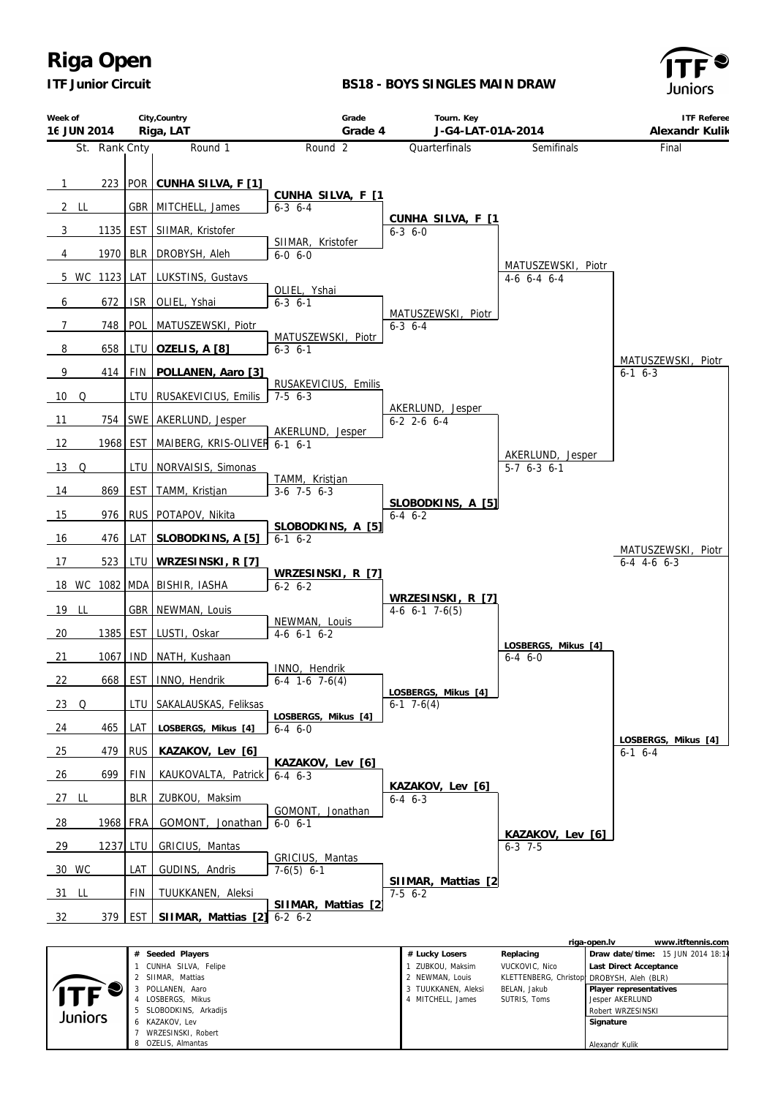*ITF Junior Circuit*

#### **BS18 - BOYS SINGLES MAIN DRAW**



| Week of<br>16 JUN 2014 |          |               | City, Country<br>Riga, LAT              | Grade<br>Grade 4                           | Tourn. Key<br>J-G4-LAT-01A-2014       |                                      | <b>ITF Referee</b><br>Alexandr Kulik                        |
|------------------------|----------|---------------|-----------------------------------------|--------------------------------------------|---------------------------------------|--------------------------------------|-------------------------------------------------------------|
|                        |          | St. Rank Cnty | Round 1                                 | Round <sub>2</sub>                         | Quarterfinals                         | Semifinals                           | Final                                                       |
| $\overline{1}$         | 223      |               | POR CUNHA SILVA, F [1]                  | CUNHA SILVA, F [1                          |                                       |                                      |                                                             |
| 2 LL                   |          | <b>GBR</b>    | MITCHELL, James                         | $6-3$ 6-4                                  |                                       |                                      |                                                             |
| 3                      | 1135     | <b>EST</b>    | SIIMAR, Kristofer                       |                                            | CUNHA SILVA, F [1<br>$6 - 3$ $6 - 0$  |                                      |                                                             |
| 4                      | 1970     | <b>BLR</b>    | DROBYSH, Aleh                           | SIIMAR, Kristofer<br>$6-0, 6-0$            |                                       |                                      |                                                             |
| 5 WC 1123              |          | LAT           | LUKSTINS, Gustavs                       |                                            |                                       | MATUSZEWSKI, Piotr<br>4-6 6-4 6-4    |                                                             |
| 6                      | 672      | <b>ISR</b>    | OLIEL, Yshai                            | OLIEL, Yshai<br>$6 - 3$ $6 - 1$            |                                       |                                      |                                                             |
| $\overline{7}$         | 748      | POL           | MATUSZEWSKI, Piotr                      |                                            | MATUSZEWSKI, Piotr<br>$6-3$ $6-4$     |                                      |                                                             |
| 8                      | 658      | LTU           | OZELIS, A [8]                           | MATUSZEWSKI, Piotr<br>$6 - 3$ $6 - 1$      |                                       |                                      |                                                             |
| 9                      | 414      | FIN           | POLLANEN, Aaro [3]                      |                                            |                                       |                                      | MATUSZEWSKI, Piotr<br>$6-1$ $6-3$                           |
| 10<br>Q                |          | LTU           | RUSAKEVICIUS, Emilis                    | RUSAKEVICIUS, Emilis<br>$7-5$ 6-3          |                                       |                                      |                                                             |
| 11                     | 754      |               | SWE AKERLUND, Jesper                    |                                            | AKERLUND, Jesper<br>$6-2$ 2-6 6-4     |                                      |                                                             |
| 12                     | 1968 EST |               | MAIBERG, KRIS-OLIVER 6-1 6-1            | AKERLUND, Jesper                           |                                       |                                      |                                                             |
| $13$ Q                 |          | LTU           | NORVAISIS, Simonas                      |                                            |                                       | AKERLUND, Jesper<br>$5-7$ 6-3 6-1    |                                                             |
| 14                     | 869      | <b>EST</b>    | TAMM, Kristjan                          | TAMM, Kristjan<br>$3-6$ 7-5 6-3            |                                       |                                      |                                                             |
| 15                     | 976      |               | RUS POTAPOV, Nikita                     |                                            | SLOBODKINS, A [5]<br>$6-4$ $6-2$      |                                      |                                                             |
| 16                     | 476      | LAT           | SLOBODKINS, A [5]                       | SLOBODKINS, A [5]<br>$6-1$ $6-2$           |                                       |                                      |                                                             |
| 17                     | 523      | LTU           | WRZESINSKI, R [7]                       |                                            |                                       |                                      | MATUSZEWSKI, Piotr<br>$6-4$ 4-6 6-3                         |
| 18 WC 1082 MDA         |          |               | BISHIR, IASHA                           | WRZESINSKI, R [7]<br>$6 - 2 6 - 2$         |                                       |                                      |                                                             |
| 19 LL                  |          | GBR           | NEWMAN, Louis                           |                                            | WRZESINSKI, R [7]<br>$4-6$ 6-1 7-6(5) |                                      |                                                             |
| 20                     | 1385     | <b>EST</b>    | LUSTI, Oskar                            | NEWMAN, Louis<br>$4-6$ 6-1 6-2             |                                       |                                      |                                                             |
| 21                     | 1067     | <b>IND</b>    | NATH, Kushaan                           |                                            |                                       | LOSBERGS, Mikus [4]<br>$6 - 4 6 - 0$ |                                                             |
| 22                     | 668      | <b>EST</b>    | INNO, Hendrik                           | INNO, Hendrik<br>$6-4$ 1-6 7-6(4)          |                                       |                                      |                                                             |
| $23$ Q                 |          | LTU           | SAKALAUSKAS, Feliksas                   |                                            | LOSBERGS, Mikus [4]<br>$6-1$ 7-6(4)   |                                      |                                                             |
| 24                     | 465      | LAT           | LOSBERGS, Mikus [4]                     | LOSBERGS, Mikus [4]<br>$6 - 4 \quad 6 - 0$ |                                       |                                      |                                                             |
| 25                     | 479      | <b>RUS</b>    | KAZAKOV, Lev [6]                        |                                            |                                       |                                      | LOSBERGS, Mikus [4]<br>$6-1$ $6-4$                          |
| 26                     | 699      | FIN           | KAUKOVALTA, Patrick                     | KAZAKOV, Lev [6]<br>$6 - 4 \quad 6 - 3$    |                                       |                                      |                                                             |
| 27 LL                  |          | <b>BLR</b>    | ZUBKOU, Maksim                          |                                            | KAZAKOV, Lev [6]<br>$6-4$ $6-3$       |                                      |                                                             |
| - 28                   |          | 1968 FRA      | GOMONT, Jonathan                        | GOMONT, Jonathan<br>$6 - 0 6 - 1$          |                                       |                                      |                                                             |
| 29                     | 1237 LTU |               | GRICIUS, Mantas                         |                                            |                                       | KAZAKOV, Lev [6]<br>$6-3$ 7-5        |                                                             |
| 30 WC                  |          | LAT           | GUDINS, Andris                          | GRICIUS, Mantas<br>$7-6(5)$ 6-1            |                                       |                                      |                                                             |
| 31 LL                  |          | FIN           | TUUKKANEN, Aleksi                       |                                            | SIIMAR, Mattias [2<br>$7-5$ 6-2       |                                      |                                                             |
| 32                     | 379      | <b>EST</b>    | SIIMAR, Mattias [2]                     | SIIMAR, Mattias [2<br>$6 - 2 6 - 2$        |                                       |                                      |                                                             |
|                        |          |               |                                         |                                            |                                       | riga-open.lv                         | www.itftennis.com                                           |
|                        |          |               | # Seeded Players<br>CUNHA SILVA, Felipe |                                            | # Lucky Losers<br>1 ZUBKOU, Maksim    | Replacing<br>VUCKOVIC, Nico          | Draw date/time: 15 JUN 2014 18:14<br>Last Direct Acceptance |

|         | Seeded Players<br>#  | # Lucky Losers      | Replacing      | Draw date/time: 15 JUN 2014 18:14          |
|---------|----------------------|---------------------|----------------|--------------------------------------------|
|         | CUNHA SILVA, Felipe  | ZUBKOU, Maksim      | VUCKOVIC, Nico | Last Direct Acceptance                     |
|         | SIIMAR, Mattias      | 2 NEWMAN, Louis     |                | KLETTENBERG, Christoph DROBYSH, Aleh (BLR) |
|         | POLLANEN, Aaro       | 3 TUUKKANEN, Aleksi | BELAN, Jakub   | Player representatives                     |
|         | LOSBERGS, Mikus      | MITCHELL, James     | SUTRIS, Toms   | Jesper AKERLUND                            |
|         | SLOBODKINS, Arkadijs |                     |                | Robert WRZESINSKI                          |
| Juniors | KAZAKOV. Lev         |                     |                | Signature                                  |
|         | WRZESINSKI, Robert   |                     |                |                                            |
|         | OZELIS, Almantas     |                     |                | Alexandr Kulik                             |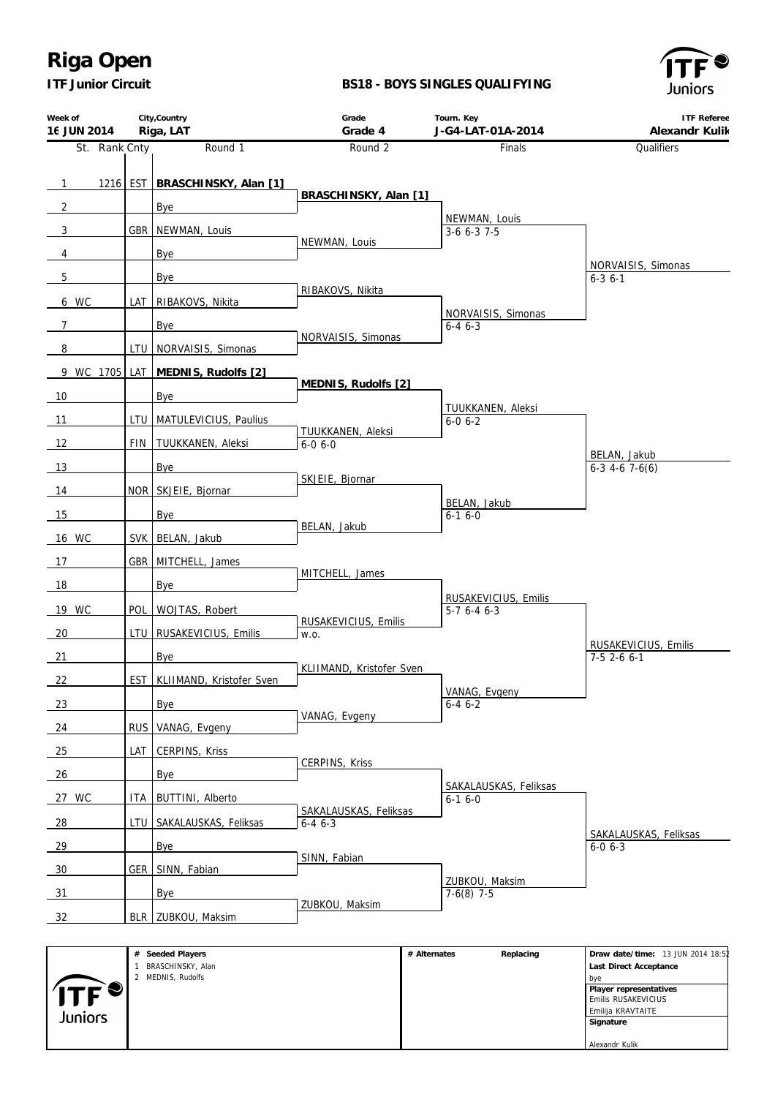*ITF Junior Circuit*

#### **BS18 - BOYS SINGLES QUALIFYING**



| Week of<br>16 JUN 2014    |                  | City, Country<br>Riga, LAT     | Grade<br>Grade 4                         | Tourn. Key<br>J-G4-LAT-01A-2014       | <b>ITF Referee</b><br>Alexandr Kulik   |
|---------------------------|------------------|--------------------------------|------------------------------------------|---------------------------------------|----------------------------------------|
| St. Rank Cnty             |                  | Round 1                        | Round 2                                  | Finals                                | Qualifiers                             |
|                           |                  |                                |                                          |                                       |                                        |
| $\overline{\phantom{0}1}$ |                  | 1216 EST BRASCHINSKY, Alan [1] | BRASCHINSKY, Alan [1]                    |                                       |                                        |
| $\overline{2}$            |                  | Bye                            |                                          |                                       |                                        |
| $\overline{3}$            | <b>GBR</b>       | NEWMAN, Louis                  |                                          | NEWMAN, Louis<br>$3-6$ 6-3 7-5        |                                        |
| $\overline{4}$            |                  | Bye                            | NEWMAN, Louis                            |                                       |                                        |
| 5                         |                  | Bye                            |                                          |                                       | NORVAISIS, Simonas<br>$6 - 3$ 6 - 1    |
| 6 WC                      | LAT              | RIBAKOVS, Nikita               | RIBAKOVS, Nikita                         |                                       |                                        |
| $\overline{7}$            |                  | Bye                            |                                          | NORVAISIS, Simonas<br>$6 - 46 - 3$    |                                        |
| 8                         | LTU I            | NORVAISIS, Simonas             | NORVAISIS, Simonas                       |                                       |                                        |
| 9 WC 1705 LAT             |                  | MEDNIS, Rudolfs [2]            |                                          |                                       |                                        |
| 10                        |                  | Bye                            | MEDNIS, Rudolfs [2]                      |                                       |                                        |
| 11                        |                  | LTU   MATULEVICIUS, Paulius    |                                          | TUUKKANEN, Aleksi<br>$6 - 0 6 - 2$    |                                        |
| 12                        | FIN I            | TUUKKANEN, Aleksi              | TUUKKANEN, Aleksi<br>$6 - 0 6 - 0$       |                                       |                                        |
|                           |                  |                                |                                          |                                       | BELAN, Jakub                           |
| 13                        |                  | Bye                            | SKJEIE, Bjornar                          |                                       | $6-3$ 4-6 7-6(6)                       |
| 14                        |                  | NOR SKJEIE, Bjornar            |                                          | BELAN, Jakub                          |                                        |
| 15                        |                  | Bye                            | BELAN, Jakub                             | $6-16-0$                              |                                        |
| 16 WC                     |                  | SVK BELAN, Jakub               |                                          |                                       |                                        |
| 17                        | <b>GBR</b>       | MITCHELL, James                |                                          |                                       |                                        |
| 18                        |                  | Bye                            | MITCHELL, James                          |                                       |                                        |
| 19 WC                     | POL              | WOJTAS, Robert                 |                                          | RUSAKEVICIUS, Emilis<br>$5-76-46-3$   |                                        |
| 20                        | LTU              | RUSAKEVICIUS, Emilis           | RUSAKEVICIUS, Emilis<br>W.O.             |                                       |                                        |
| 21                        |                  | Bye                            |                                          |                                       | RUSAKEVICIUS, Emilis<br>$7-5$ 2-6 6-1  |
|                           |                  |                                | KLIIMAND, Kristofer Sven                 |                                       |                                        |
| 22                        | EST <sup>1</sup> | KLIIMAND, Kristofer Sven       |                                          | VANAG, Evgeny                         |                                        |
| 23                        |                  | <b>Bye</b>                     | VANAG, Evgeny                            | $6 - 46 - 2$                          |                                        |
| 24                        | <b>RUS</b>       | VANAG, Evgeny                  |                                          |                                       |                                        |
| 25                        | LAT              | CERPINS, Kriss                 | CERPINS, Kriss                           |                                       |                                        |
| 26                        |                  | Bye                            |                                          |                                       |                                        |
| 27 WC                     | ITA I            | <b>BUTTINI</b> , Alberto       |                                          | SAKALAUSKAS, Feliksas<br>$6 - 16 - 0$ |                                        |
| $\frac{28}{ }$            |                  | LTU   SAKALAUSKAS, Feliksas    | SAKALAUSKAS, Feliksas<br>$6 - 4$ $6 - 3$ |                                       |                                        |
| 29                        |                  | Bye                            |                                          |                                       | SAKALAUSKAS, Feliksas<br>$6 - 0 6 - 3$ |
| 30                        |                  | GER SINN, Fabian               | SINN, Fabian                             |                                       |                                        |
|                           |                  |                                |                                          | ZUBKOU, Maksim                        |                                        |
| 31                        |                  | Bye                            | ZUBKOU, Maksim                           | $7-6(8)$ 7-5                          |                                        |
| 32                        |                  | BLR   ZUBKOU, Maksim           |                                          |                                       |                                        |
|                           |                  |                                |                                          |                                       |                                        |

**# Alternates Replacing Draw date/time:** 13 JUN 2014 18:52 **# Seeded Players** 1 BRASCHINSKY, Alan  **Last Direct Acceptance** 2 MEDNIS, Rudolfs bye  **Player representatives** Emilis RUSAKEVICIUS Emilija KRAVTAITE Juniors  **Signature** Alexandr Kulik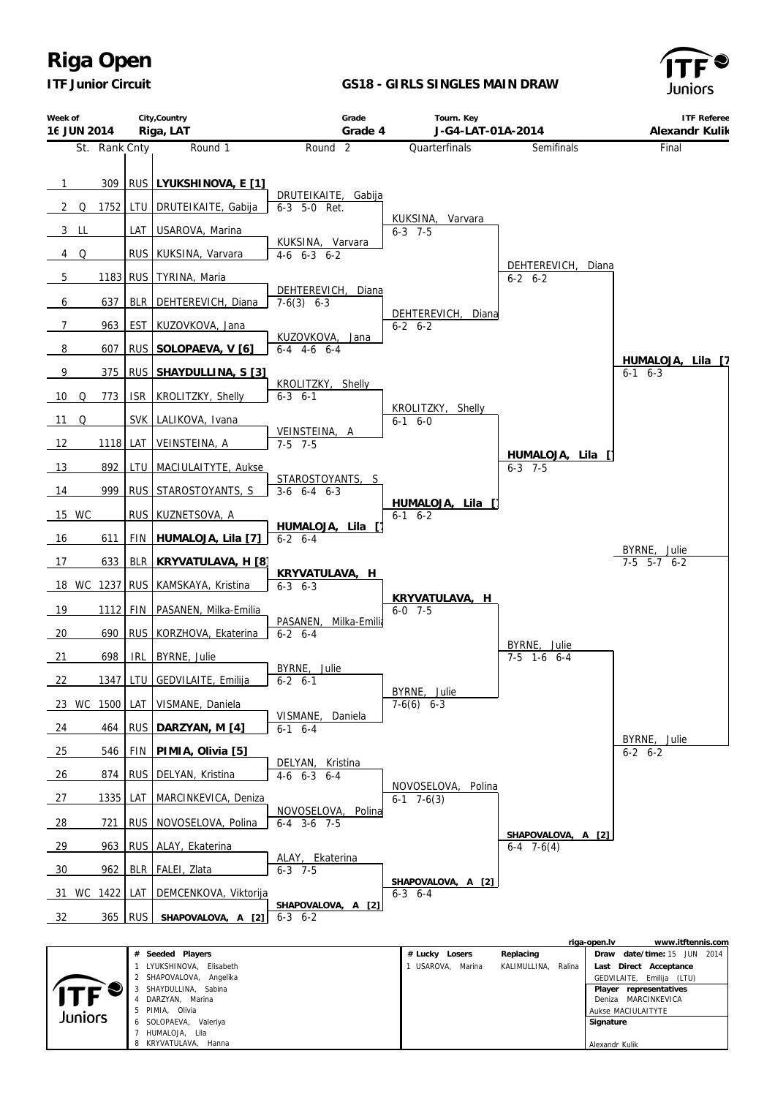*ITF Junior Circuit*

KRYVATULAVA, Hanna

#### **GS18 - GIRLS SINGLES MAIN DRAW**



Alexandr Kulik

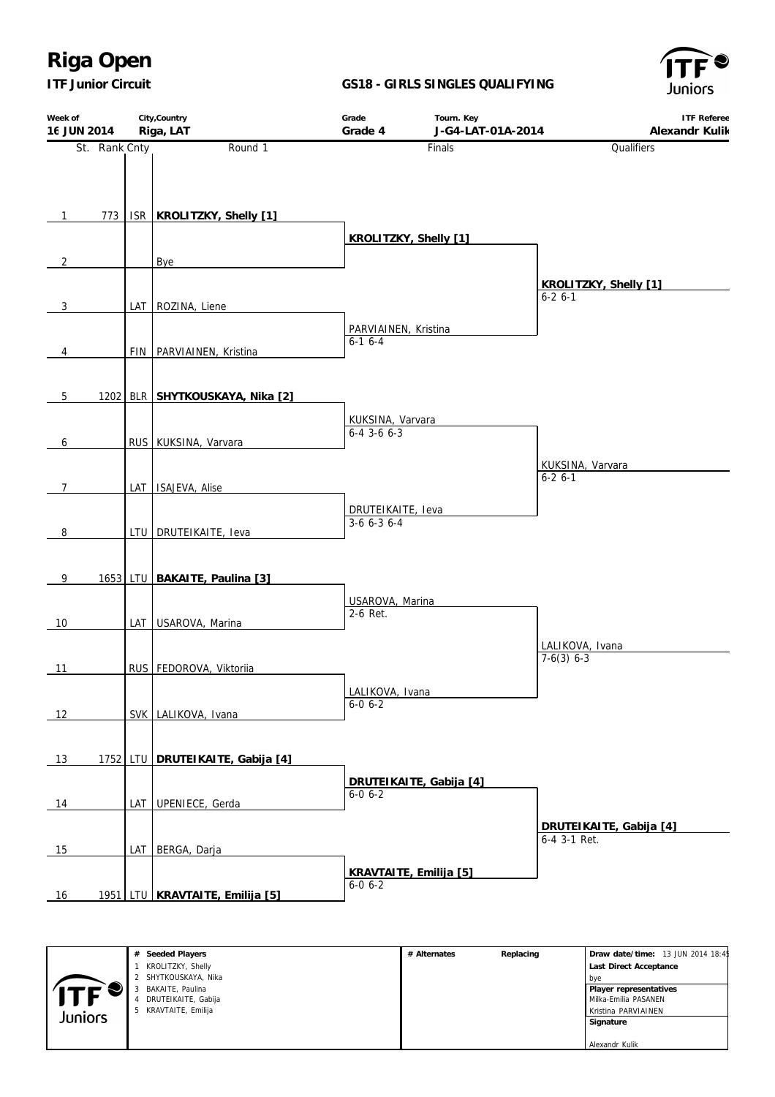*ITF Junior Circuit*

### **GS18 - GIRLS SINGLES QUALIFYING**



| Week of<br>16 JUN 2014 |               | City, Country<br>Riga, LAT       | Grade<br>Grade 4                        | Tourn. Key<br>J-G4-LAT-01A-2014 | <b>ITF Referee</b><br>Alexandr Kulik    |
|------------------------|---------------|----------------------------------|-----------------------------------------|---------------------------------|-----------------------------------------|
|                        | St. Rank Cnty | Round 1                          |                                         | Finals                          | Qualifiers                              |
| $\mathbf{1}$           | 773           | ISR   KROLITZKY, Shelly [1]      | KROLITZKY, Shelly [1]                   |                                 |                                         |
| $\overline{2}$         |               | Bye                              |                                         |                                 |                                         |
| 3                      |               | LAT ROZINA, Liene                |                                         |                                 | KROLITZKY, Shelly [1]<br>$6 - 26 - 1$   |
| 4                      |               | FIN PARVIAINEN, Kristina         | PARVIAINEN, Kristina<br>$6-16-4$        |                                 |                                         |
| $5\phantom{.0}$        | 1202          | BLR SHYTKOUSKAYA, Nika [2]       |                                         |                                 |                                         |
| 6                      |               | RUS KUKSINA, Varvara             | KUKSINA, Varvara<br>$6-4$ 3-6 $6-3$     |                                 |                                         |
| $\overline{7}$         |               | LAT ISAJEVA, Alise               |                                         |                                 | KUKSINA, Varvara<br>$6 - 26 - 1$        |
| 8                      |               | LTU DRUTEIKAITE, leva            | DRUTEIKAITE, Ieva<br>$3-6$ 6-3 6-4      |                                 |                                         |
| 9                      |               | 1653 LTU BAKAITE, Paulina [3]    |                                         |                                 |                                         |
| 10                     |               | LAT USAROVA, Marina              | USAROVA, Marina<br>2-6 Ret.             |                                 |                                         |
| 11                     |               | RUS FEDOROVA, Viktoriia          |                                         |                                 | LALIKOVA, Ivana<br>$7-6(3)$ 6-3         |
| 12                     |               | SVK LALIKOVA, Ivana              | LALIKOVA, Ivana<br>$6 - 0 6 - 2$        |                                 |                                         |
| 13                     |               | 1752 LTU DRUTEIKAITE, Gabija [4] |                                         |                                 |                                         |
| 14                     |               | LAT UPENIECE, Gerda              | $6 - 0 6 - 2$                           | DRUTEIKAITE, Gabija [4]         |                                         |
| 15                     |               | LAT BERGA, Darja                 |                                         |                                 | DRUTEIKAITE, Gabija [4]<br>6-4 3-1 Ret. |
| 16                     |               | 1951 LTU KRAVTAITE, Emilija [5]  | KRAVTAITE, Emilija [5]<br>$6 - 0 6 - 2$ |                                 |                                         |

|         | # Seeded Players     | # Alternates | Replacing | Draw date/time: 13 JUN 2014 18:45 |
|---------|----------------------|--------------|-----------|-----------------------------------|
|         | KROLITZKY, Shelly    |              |           | Last Direct Acceptance            |
|         | 2 SHYTKOUSKAYA, Nika |              |           | bve                               |
|         | BAKAITE, Paulina     |              |           | Player representatives            |
|         | DRUTEIKAITE, Gabija  |              |           | l Milka-Emilia PASANEN            |
| Juniors | 5 KRAVTAITE, Emilija |              |           | Kristina PARVIAINEN               |
|         |                      |              |           | Signature                         |
|         |                      |              |           |                                   |
|         |                      |              |           | Alexandr Kulik                    |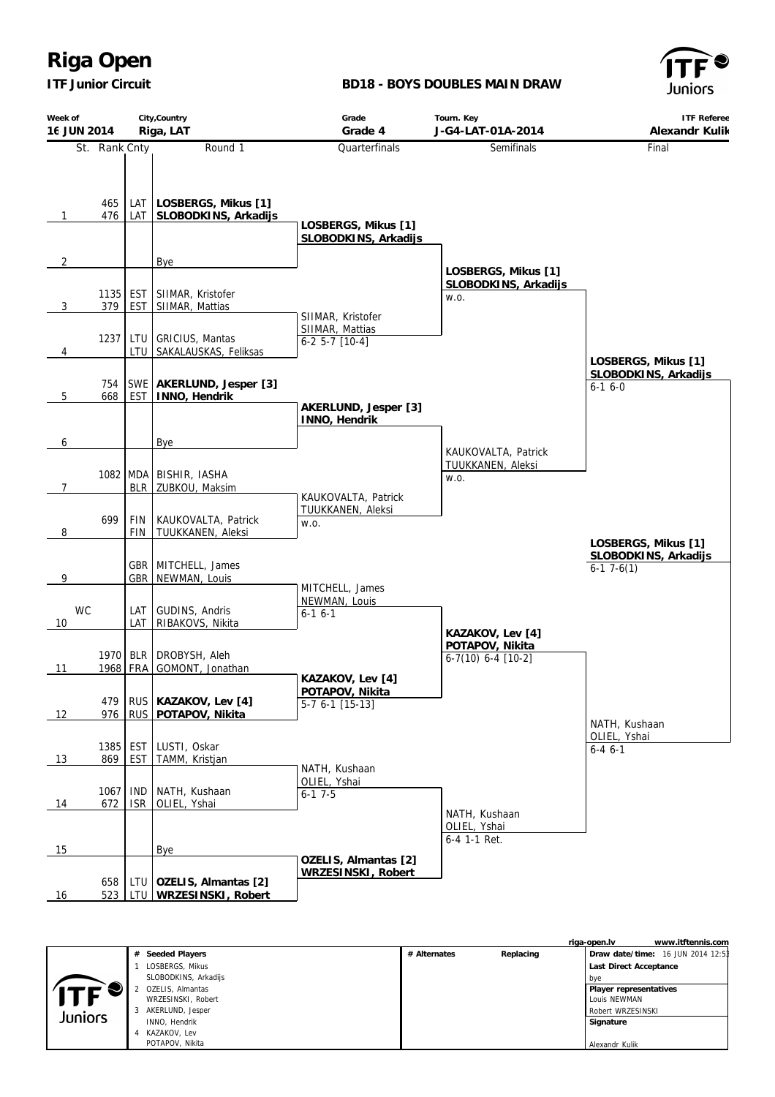*ITF Junior Circuit*

### **BD18 - BOYS DOUBLES MAIN DRAW**



| Week of<br>16 JUN 2014 |                  |                          | City, Country<br>Riga, LAT                        | Grade<br>Grade 4                            | Tourn. Key<br>J-G4-LAT-01A-2014                     | <b>ITF Referee</b><br>Alexandr Kulik                        |
|------------------------|------------------|--------------------------|---------------------------------------------------|---------------------------------------------|-----------------------------------------------------|-------------------------------------------------------------|
|                        | St. Rank Cnty    |                          | Round 1                                           | Quarterfinals                               | Semifinals                                          | Final                                                       |
| 1                      | 465<br>476       | LAT                      | LAT   LOSBERGS, Mikus [1]<br>SLOBODKINS, Arkadijs | LOSBERGS, Mikus [1]<br>SLOBODKINS, Arkadijs |                                                     |                                                             |
| 2                      |                  |                          | Bye                                               |                                             |                                                     |                                                             |
| 3                      | 1135<br>379      | EST<br><b>EST</b>        | SIIMAR, Kristofer<br>SIIMAR, Mattias              | SIIMAR, Kristofer                           | LOSBERGS, Mikus [1]<br>SLOBODKINS, Arkadijs<br>W.O. |                                                             |
|                        | 1237             | LTU                      | <b>GRICIUS, Mantas</b>                            | SIIMAR, Mattias                             |                                                     |                                                             |
| 4                      |                  | LTU                      | SAKALAUSKAS, Feliksas                             | $6-2$ 5-7 $[10-4]$                          |                                                     |                                                             |
| 5                      | 754<br>668       | <b>EST</b>               | SWE   AKERLUND, Jesper [3]<br>INNO, Hendrik       |                                             |                                                     | LOSBERGS, Mikus [1]<br>SLOBODKINS, Arkadijs<br>$6 - 16 - 0$ |
|                        |                  |                          |                                                   | AKERLUND, Jesper [3]<br>INNO, Hendrik       |                                                     |                                                             |
| 6                      |                  |                          | Bye                                               |                                             | KAUKOVALTA, Patrick                                 |                                                             |
| $\overline{7}$         | 1082 MDA         | <b>BLR</b>               | BISHIR, IASHA<br>ZUBKOU, Maksim                   | KAUKOVALTA, Patrick                         | TUUKKANEN, Aleksi<br>W.O.                           |                                                             |
| 8                      | 699              | <b>FIN</b><br><b>FIN</b> | KAUKOVALTA, Patrick<br>TUUKKANEN, Aleksi          | TUUKKANEN, Aleksi<br>W.O.                   |                                                     | LOSBERGS, Mikus [1]                                         |
| 9                      |                  |                          | GBR   MITCHELL, James<br>GBR   NEWMAN, Louis      | MITCHELL, James                             |                                                     | SLOBODKINS, Arkadijs<br>$6-17-6(1)$                         |
| WC<br>10               |                  | LAT<br>LAT               | GUDINS, Andris<br>RIBAKOVS, Nikita                | NEWMAN, Louis<br>$6-16-1$                   | KAZAKOV, Lev [4]                                    |                                                             |
| 11                     | 1970 BLR<br>1968 | <b>FRA</b>               | DROBYSH, Aleh<br>GOMONT, Jonathan                 | KAZAKOV, Lev [4]                            | POTAPOV, Nikita<br>$6-7(10) 6-4 [10-2]$             |                                                             |
| 12                     | 479<br>976       | <b>RUS</b><br><b>RUS</b> | KAZAKOV, Lev [4]<br>POTAPOV, Nikita               | POTAPOV, Nikita<br>$5-7$ 6-1 [15-13]        |                                                     | NATH, Kushaan                                               |
| 13                     | 1385<br>869      | <b>EST</b><br><b>EST</b> | LUSTI, Oskar<br>TAMM, Kristjan                    | NATH, Kushaan                               |                                                     | OLIEL, Yshai<br>$6 - 4 6 - 1$                               |
| 14                     | 1067<br>672      | <b>IND</b><br><b>ISR</b> | NATH, Kushaan<br>OLIEL, Yshai                     | OLIEL, Yshai<br>$6-17-5$                    | NATH, Kushaan                                       |                                                             |
| 15                     |                  |                          | Bye                                               |                                             | OLIEL, Yshai<br>6-4 1-1 Ret.                        |                                                             |
| <u>16</u>              | 658<br>523       | LTU<br><b>LTU</b>        | OZELIS, Almantas [2]<br>WRZESINSKI, Robert        | OZELIS, Almantas [2]<br>WRZESINSKI, Robert  |                                                     |                                                             |

|         |                       |                           | www.itftennis.com<br>riga-open.lv |
|---------|-----------------------|---------------------------|-----------------------------------|
|         | Seeded Players<br>#   | Replacing<br># Alternates | Draw date/time: 16 JUN 2014 12:53 |
|         | LOSBERGS, Mikus       |                           | Last Direct Acceptance            |
|         | SLOBODKINS, Arkadijs  |                           | bve                               |
| $T_F$   | OZELIS, Almantas      |                           | Player representatives            |
| Juniors | WRZESINSKI, Robert    |                           | Louis NEWMAN                      |
|         | AKERLUND, Jesper<br>3 |                           | Robert WRZESINSKI                 |
|         | INNO, Hendrik         |                           | Signature                         |
|         | KAZAKOV. Lev<br>4     |                           |                                   |
|         | POTAPOV, Nikita       |                           | Alexandr Kulik                    |